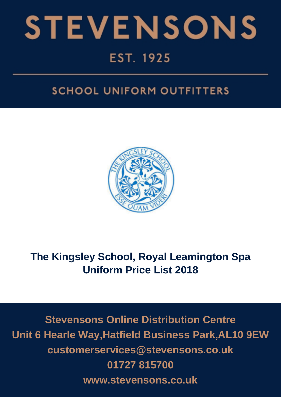

# **SCHOOL UNIFORM OUTFITTERS**



# **The Kingsley School, Royal Leamington Spa Uniform Price List 2018**

**Stevensons Online Distribution Centre Unit 6 Hearle Way,Hatfield Business Park,AL10 9EW customerservices@stevensons.co.uk 01727 815700 www.stevensons.co.uk**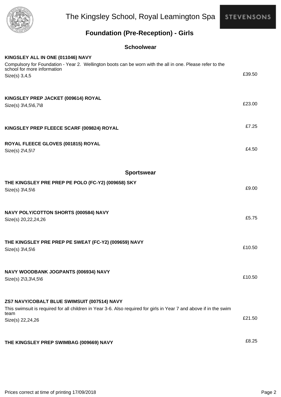

The Kingsley School, Royal Leamington Spa

**STEVENSONS** 

### **Foundation (Pre-Reception) - Girls**

| KINGSLEY ALL IN ONE (011046) NAVY                                                                                                                         |        |
|-----------------------------------------------------------------------------------------------------------------------------------------------------------|--------|
| Compulsory for Foundation - Year 2. Wellington boots can be worn with the all in one. Please refer to the<br>school for more information<br>Size(s) 3,4,5 | £39.50 |
| KINGSLEY PREP JACKET (009614) ROYAL<br>Size(s) 3\4,5\6,7\8                                                                                                | £23.00 |
| KINGSLEY PREP FLEECE SCARF (009824) ROYAL                                                                                                                 | £7.25  |
| ROYAL FLEECE GLOVES (001815) ROYAL<br>Size(s) 2\4,5\7                                                                                                     | £4.50  |
| <b>Sportswear</b>                                                                                                                                         |        |
| THE KINGSLEY PRE PREP PE POLO (FC-Y2) (009658) SKY<br>Size(s) 3\4,5\6                                                                                     | £9.00  |
| NAVY POLY/COTTON SHORTS (000584) NAVY<br>Size(s) 20,22,24,26                                                                                              | £5.75  |
| THE KINGSLEY PRE PREP PE SWEAT (FC-Y2) (009659) NAVY<br>Size(s) 3\4,5\6                                                                                   | £10.50 |
| NAVY WOODBANK JOGPANTS (006934) NAVY<br>Size(s) 2\3,3\4,5\6                                                                                               | £10.50 |
| ZS7 NAVY/COBALT BLUE SWIMSUIT (007514) NAVY                                                                                                               |        |
| This swimsuit is required for all children in Year 3-6. Also required for girls in Year 7 and above if in the swim<br>team<br>Size(s) 22,24,26            | £21.50 |
| THE KINGSLEY PREP SWIMBAG (009669) NAVY                                                                                                                   | £8.25  |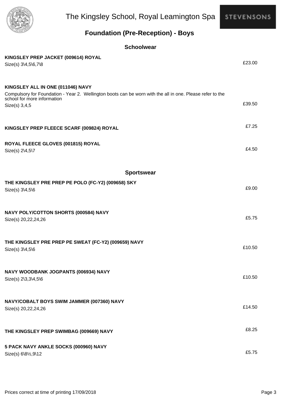

The Kingsley School, Royal Leamington Spa

**STEVENSONS** 

### **Foundation (Pre-Reception) - Boys**

| KINGSLEY PREP JACKET (009614) ROYAL                                                                       |        |
|-----------------------------------------------------------------------------------------------------------|--------|
| Size(s) 3\4,5\6,7\8                                                                                       | £23.00 |
|                                                                                                           |        |
|                                                                                                           |        |
| KINGSLEY ALL IN ONE (011046) NAVY                                                                         |        |
| Compulsory for Foundation - Year 2. Wellington boots can be worn with the all in one. Please refer to the |        |
| school for more information                                                                               | £39.50 |
| Size(s) 3,4,5                                                                                             |        |
|                                                                                                           |        |
|                                                                                                           | £7.25  |
| KINGSLEY PREP FLEECE SCARF (009824) ROYAL                                                                 |        |
|                                                                                                           |        |
| ROYAL FLEECE GLOVES (001815) ROYAL                                                                        |        |
| Size(s) 2\4,5\7                                                                                           | £4.50  |
|                                                                                                           |        |
|                                                                                                           |        |
| <b>Sportswear</b>                                                                                         |        |
| THE KINGSLEY PRE PREP PE POLO (FC-Y2) (009658) SKY                                                        |        |
| Size(s) 3\4,5\6                                                                                           | £9.00  |
|                                                                                                           |        |
|                                                                                                           |        |
| NAVY POLY/COTTON SHORTS (000584) NAVY                                                                     |        |
| Size(s) 20,22,24,26                                                                                       | £5.75  |
|                                                                                                           |        |
|                                                                                                           |        |
| THE KINGSLEY PRE PREP PE SWEAT (FC-Y2) (009659) NAVY                                                      |        |
| Size(s) 3\4,5\6                                                                                           | £10.50 |
|                                                                                                           |        |
|                                                                                                           |        |
| NAVY WOODBANK JOGPANTS (006934) NAVY                                                                      |        |
| Size(s) 2\3,3\4,5\6                                                                                       | £10.50 |
|                                                                                                           |        |
|                                                                                                           |        |
| NAVY/COBALT BOYS SWIM JAMMER (007360) NAVY                                                                |        |
| Size(s) 20,22,24,26                                                                                       | £14.50 |
|                                                                                                           |        |
|                                                                                                           |        |
| THE KINGSLEY PREP SWIMBAG (009669) NAVY                                                                   | £8.25  |
|                                                                                                           |        |
| 5 PACK NAVY ANKLE SOCKS (000960) NAVY                                                                     |        |
| Size(s) 6\81/2,9\12                                                                                       | £5.75  |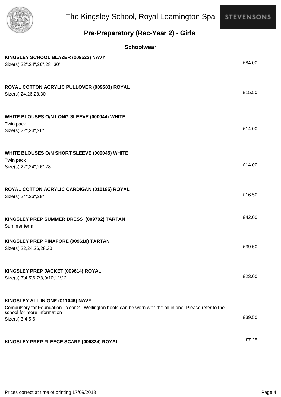

### **Pre-Preparatory (Rec-Year 2) - Girls**

| KINGSLEY SCHOOL BLAZER (009523) NAVY<br>Size(s) 22", 24", 26", 28", 30"                                                                                                                          | £84.00 |
|--------------------------------------------------------------------------------------------------------------------------------------------------------------------------------------------------|--------|
| ROYAL COTTON ACRYLIC PULLOVER (009583) ROYAL<br>Size(s) 24, 26, 28, 30                                                                                                                           | £15.50 |
| WHITE BLOUSES O/N LONG SLEEVE (000044) WHITE<br>Twin pack<br>Size(s) 22", 24", 26"                                                                                                               | £14.00 |
| WHITE BLOUSES O/N SHORT SLEEVE (000045) WHITE<br>Twin pack<br>Size(s) 22", 24", 26", 28"                                                                                                         | £14.00 |
| ROYAL COTTON ACRYLIC CARDIGAN (010185) ROYAL<br>Size(s) 24", 26", 28"                                                                                                                            | £16.50 |
| KINGSLEY PREP SUMMER DRESS (009702) TARTAN<br>Summer term                                                                                                                                        | £42.00 |
| KINGSLEY PREP PINAFORE (009610) TARTAN<br>Size(s) 22,24,26,28,30                                                                                                                                 | £39.50 |
| KINGSLEY PREP JACKET (009614) ROYAL<br>Size(s) 3\4,5\6,7\8,9\10,11\12                                                                                                                            | £23.00 |
| KINGSLEY ALL IN ONE (011046) NAVY<br>Compulsory for Foundation - Year 2. Wellington boots can be worn with the all in one. Please refer to the<br>school for more information<br>Size(s) 3,4,5,6 | £39.50 |
| KINGSLEY PREP FLEECE SCARF (009824) ROYAL                                                                                                                                                        | £7.25  |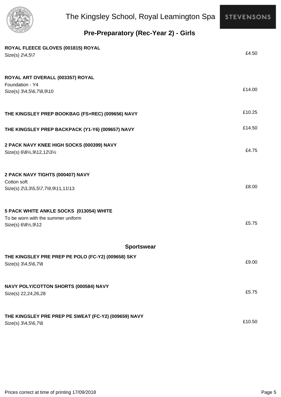

## **Pre-Preparatory (Rec-Year 2) - Girls**

| ROYAL FLEECE GLOVES (001815) ROYAL<br>Size(s) 2\4,5\7                                                | £4.50  |
|------------------------------------------------------------------------------------------------------|--------|
| ROYAL ART OVERALL (003357) ROYAL<br>Foundation - Y4<br>Size(s) 3\4,5\6,7\8,9\10                      | £14.00 |
| THE KINGSLEY PREP BOOKBAG (FS+REC) (009656) NAVY                                                     | £10.25 |
| THE KINGSLEY PREP BACKPACK (Y1-Y6) (009657) NAVY                                                     | £14.50 |
| 2 PACK NAVY KNEE HIGH SOCKS (000399) NAVY<br>Size(s) 6\81/2,9\12,12\31/2                             | £4.75  |
| 2 PACK NAVY TIGHTS (000407) NAVY<br>Cotton soft<br>Size(s) 2\3,3\5,5\7,7\9,9\11,11\13                | £8.00  |
| 5 PACK WHITE ANKLE SOCKS (013054) WHITE<br>To be worn with the summer uniform<br>Size(s) 6\81/2,9\12 | £5.75  |
| <b>Sportswear</b>                                                                                    |        |
| THE KINGSLEY PRE PREP PE POLO (FC-Y2) (009658) SKY<br>Size(s) 3\4,5\6,7\8                            | £9.00  |
| NAVY POLY/COTTON SHORTS (000584) NAVY<br>Size(s) 22,24,26,28                                         | £5.75  |
| THE KINGSLEY PRE PREP PE SWEAT (FC-Y2) (009659) NAVY<br>Size(s) 3\4,5\6,7\8                          | £10.50 |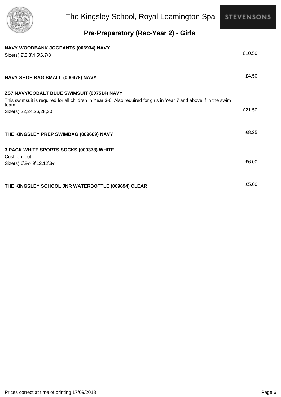

## **Pre-Preparatory (Rec-Year 2) - Girls**

| NAVY WOODBANK JOGPANTS (006934) NAVY<br>Size(s) 2\3,3\4,5\6,7\8                                                                                                           | £10.50 |
|---------------------------------------------------------------------------------------------------------------------------------------------------------------------------|--------|
| NAVY SHOE BAG SMALL (000478) NAVY                                                                                                                                         | £4.50  |
| ZS7 NAVY/COBALT BLUE SWIMSUIT (007514) NAVY<br>This swimsuit is required for all children in Year 3-6. Also required for girls in Year 7 and above if in the swim<br>team |        |
| Size(s) 22,24,26,28,30                                                                                                                                                    | £21.50 |
| THE KINGSLEY PREP SWIMBAG (009669) NAVY                                                                                                                                   | £8.25  |
| 3 PACK WHITE SPORTS SOCKS (000378) WHITE                                                                                                                                  |        |
| Cushion foot<br>Size(s) 6\81/2,9\12,12\31/2                                                                                                                               | £6.00  |
| THE KINGSLEY SCHOOL JNR WATERBOTTLE (009694) CLEAR                                                                                                                        | £5.00  |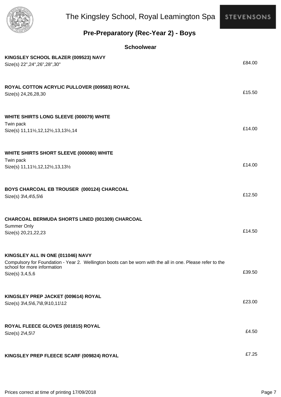

### **Pre-Preparatory (Rec-Year 2) - Boys**

| KINGSLEY SCHOOL BLAZER (009523) NAVY<br>Size(s) 22", 24", 26", 28", 30"                                                                                                                          | £84.00 |
|--------------------------------------------------------------------------------------------------------------------------------------------------------------------------------------------------|--------|
| ROYAL COTTON ACRYLIC PULLOVER (009583) ROYAL<br>Size(s) 24,26,28,30                                                                                                                              | £15.50 |
| WHITE SHIRTS LONG SLEEVE (000079) WHITE<br>Twin pack<br>Size(s) 11,111/2,12,121/2,13,131/2,14                                                                                                    | £14.00 |
| WHITE SHIRTS SHORT SLEEVE (000080) WHITE<br>Twin pack<br>Size(s) 11,111/2,12,121/2,13,131/2                                                                                                      | £14.00 |
| BOYS CHARCOAL EB TROUSER (000124) CHARCOAL<br>Size(s) 3\4,4\5,5\6                                                                                                                                | £12.50 |
| CHARCOAL BERMUDA SHORTS LINED (001309) CHARCOAL<br>Summer Only<br>Size(s) 20,21,22,23                                                                                                            | £14.50 |
| KINGSLEY ALL IN ONE (011046) NAVY<br>Compulsory for Foundation - Year 2. Wellington boots can be worn with the all in one. Please refer to the<br>school for more information<br>Size(s) 3,4,5,6 | £39.50 |
| KINGSLEY PREP JACKET (009614) ROYAL<br>Size(s) 3\4,5\6,7\8,9\10,11\12                                                                                                                            | £23.00 |
| ROYAL FLEECE GLOVES (001815) ROYAL<br>Size(s) 2\4,5\7                                                                                                                                            | £4.50  |
| KINGSLEY PREP FLEECE SCARF (009824) ROYAL                                                                                                                                                        | £7.25  |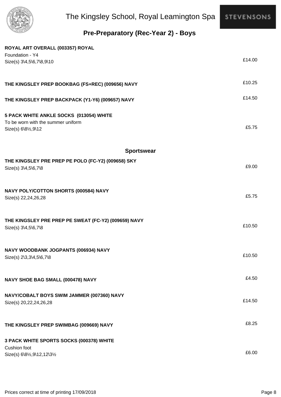

## **Pre-Preparatory (Rec-Year 2) - Boys**

| ROYAL ART OVERALL (003357) ROYAL                                              |        |
|-------------------------------------------------------------------------------|--------|
| Foundation - Y4                                                               | £14.00 |
| Size(s) 3\4,5\6,7\8,9\10                                                      |        |
|                                                                               |        |
| THE KINGSLEY PREP BOOKBAG (FS+REC) (009656) NAVY                              | £10.25 |
|                                                                               |        |
| THE KINGSLEY PREP BACKPACK (Y1-Y6) (009657) NAVY                              | £14.50 |
|                                                                               |        |
| 5 PACK WHITE ANKLE SOCKS (013054) WHITE<br>To be worn with the summer uniform |        |
| Size(s) 6\81/2,9\12                                                           | £5.75  |
|                                                                               |        |
|                                                                               |        |
| <b>Sportswear</b>                                                             |        |
| THE KINGSLEY PRE PREP PE POLO (FC-Y2) (009658) SKY                            | £9.00  |
| Size(s) 3\4,5\6,7\8                                                           |        |
|                                                                               |        |
| NAVY POLY/COTTON SHORTS (000584) NAVY                                         |        |
| Size(s) 22,24,26,28                                                           | £5.75  |
|                                                                               |        |
| THE KINGSLEY PRE PREP PE SWEAT (FC-Y2) (009659) NAVY                          |        |
| Size(s) 3\4,5\6,7\8                                                           | £10.50 |
|                                                                               |        |
|                                                                               |        |
| NAVY WOODBANK JOGPANTS (006934) NAVY                                          | £10.50 |
| $Size(s)$ 2\3,3\4,5\6,7\8                                                     |        |
|                                                                               |        |
| NAVY SHOE BAG SMALL (000478) NAVY                                             | £4.50  |
|                                                                               |        |
| NAVY/COBALT BOYS SWIM JAMMER (007360) NAVY                                    | £14.50 |
| Size(s) 20,22,24,26,28                                                        |        |
|                                                                               |        |
| THE KINGSLEY PREP SWIMBAG (009669) NAVY                                       | £8.25  |
|                                                                               |        |
| 3 PACK WHITE SPORTS SOCKS (000378) WHITE<br>Cushion foot                      |        |
| Size(s) 6\81/2,9\12,12\31/2                                                   | £6.00  |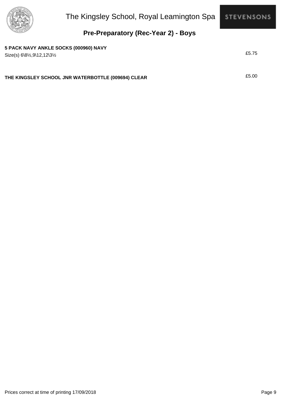

#### **Pre-Preparatory (Rec-Year 2) - Boys**

#### **5 PACK NAVY ANKLE SOCKS (000960) NAVY**

£5.75 Size(s) 6\8½,9\12,12\3½

**THE KINGSLEY SCHOOL JNR WATERBOTTLE (009694) CLEAR** £5.00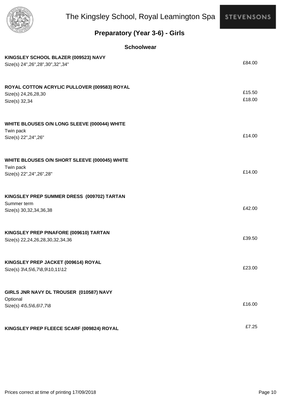

### **Preparatory (Year 3-6) - Girls**

| KINGSLEY SCHOOL BLAZER (009523) NAVY<br>Size(s) 24", 26", 28", 30", 32", 34"             | £84.00           |
|------------------------------------------------------------------------------------------|------------------|
| ROYAL COTTON ACRYLIC PULLOVER (009583) ROYAL<br>Size(s) 24,26,28,30<br>Size(s) 32,34     | £15.50<br>£18.00 |
| WHITE BLOUSES O/N LONG SLEEVE (000044) WHITE<br>Twin pack<br>Size(s) 22", 24", 26"       | £14.00           |
| WHITE BLOUSES O/N SHORT SLEEVE (000045) WHITE<br>Twin pack<br>Size(s) 22", 24", 26", 28" | £14.00           |
| KINGSLEY PREP SUMMER DRESS (009702) TARTAN<br>Summer term<br>Size(s) 30, 32, 34, 36, 38  | £42.00           |
| KINGSLEY PREP PINAFORE (009610) TARTAN<br>Size(s) 22,24,26,28,30,32,34,36                | £39.50           |
| KINGSLEY PREP JACKET (009614) ROYAL<br>Size(s) 3\4,5\6,7\8,9\10,11\12                    | £23.00           |
| GIRLS JNR NAVY DL TROUSER (010587) NAVY<br>Optional<br>Size(s) 4\5,5\6,6\7,7\8           | £16.00           |
| KINGSLEY PREP FLEECE SCARF (009824) ROYAL                                                | £7.25            |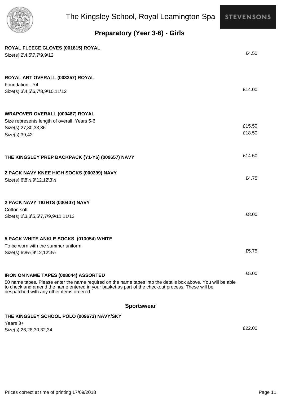

### **Preparatory (Year 3-6) - Girls**

| ROYAL FLEECE GLOVES (001815) ROYAL<br>Size(s) 2\4,5\7,7\9,9\12                                                                                                                                                                                                | £4.50  |
|---------------------------------------------------------------------------------------------------------------------------------------------------------------------------------------------------------------------------------------------------------------|--------|
| ROYAL ART OVERALL (003357) ROYAL<br>Foundation - Y4<br>Size(s) 3\4,5\6,7\8,9\10,11\12                                                                                                                                                                         | £14.00 |
| <b>WRAPOVER OVERALL (000467) ROYAL</b>                                                                                                                                                                                                                        |        |
| Size represents length of overall. Years 5-6                                                                                                                                                                                                                  |        |
| Size(s) 27,30,33,36                                                                                                                                                                                                                                           | £15.50 |
| Size(s) 39,42                                                                                                                                                                                                                                                 | £18.50 |
| THE KINGSLEY PREP BACKPACK (Y1-Y6) (009657) NAVY                                                                                                                                                                                                              | £14.50 |
| 2 PACK NAVY KNEE HIGH SOCKS (000399) NAVY                                                                                                                                                                                                                     |        |
| Size(s) 6\81/2,9\12,12\31/2                                                                                                                                                                                                                                   | £4.75  |
| 2 PACK NAVY TIGHTS (000407) NAVY                                                                                                                                                                                                                              |        |
| Cotton soft<br>Size(s) 2\3,3\5,5\7,7\9,9\11,11\13                                                                                                                                                                                                             | £8.00  |
| 5 PACK WHITE ANKLE SOCKS (013054) WHITE                                                                                                                                                                                                                       |        |
| To be worn with the summer uniform                                                                                                                                                                                                                            | £5.75  |
| Size(s) 6\81/2,9\12,12\31/2                                                                                                                                                                                                                                   |        |
| <b>IRON ON NAME TAPES (008044) ASSORTED</b>                                                                                                                                                                                                                   | £5.00  |
| 50 name tapes. Please enter the name required on the name tapes into the details box above. You will be able<br>to check and amend the name entered in your basket as part of the checkout process. These will be<br>despatched with any other items ordered. |        |
| <b>Sportswear</b>                                                                                                                                                                                                                                             |        |
| THE KINGSLEY SCHOOL POLO (009673) NAVY/SKY                                                                                                                                                                                                                    |        |
| Years $3+$                                                                                                                                                                                                                                                    |        |
| Size(s) 26,28,30,32,34                                                                                                                                                                                                                                        | £22.00 |

Prices correct at time of printing 17/09/2018 **Page 11** Page 11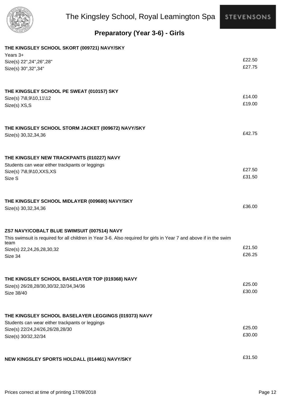

### **Preparatory (Year 3-6) - Girls**

| THE KINGSLEY SCHOOL SKORT (009721) NAVY/SKY                                                                                |        |
|----------------------------------------------------------------------------------------------------------------------------|--------|
| Years $3+$                                                                                                                 | £22.50 |
| Size(s) 22", 24", 26", 28"                                                                                                 | £27.75 |
| Size(s) 30", 32", 34"                                                                                                      |        |
| THE KINGSLEY SCHOOL PE SWEAT (010157) SKY                                                                                  |        |
| Size(s) 7\8,9\10,11\12                                                                                                     | £14.00 |
| Size(s) XS,S                                                                                                               | £19.00 |
| THE KINGSLEY SCHOOL STORM JACKET (009672) NAVY/SKY                                                                         |        |
| Size(s) 30, 32, 34, 36                                                                                                     | £42.75 |
| THE KINGSLEY NEW TRACKPANTS (010227) NAVY                                                                                  |        |
| Students can wear either trackpants or leggings                                                                            |        |
| Size(s) 7\8,9\10, XXS, XS                                                                                                  | £27.50 |
| Size S                                                                                                                     | £31.50 |
| THE KINGSLEY SCHOOL MIDLAYER (009680) NAVY/SKY                                                                             |        |
| Size(s) 30, 32, 34, 36                                                                                                     | £36.00 |
| ZS7 NAVY/COBALT BLUE SWIMSUIT (007514) NAVY                                                                                |        |
| This swimsuit is required for all children in Year 3-6. Also required for girls in Year 7 and above if in the swim<br>team |        |
| Size(s) 22,24,26,28,30,32                                                                                                  | £21.50 |
| Size 34                                                                                                                    | £26.25 |
| THE KINGSLEY SCHOOL BASELAYER TOP (019368) NAVY                                                                            |        |
| Size(s) 26/28, 28/30, 30/32, 32/34, 34/36                                                                                  | £25.00 |
| Size 38/40                                                                                                                 | £30.00 |
| THE KINGSLEY SCHOOL BASELAYER LEGGINGS (019373) NAVY                                                                       |        |
| Students can wear either trackpants or leggings                                                                            |        |
| Size(s) 22/24,24/26,26/28,28/30                                                                                            | £25.00 |
| Size(s) 30/32,32/34                                                                                                        | £30.00 |
| NEW KINGSLEY SPORTS HOLDALL (014461) NAVY/SKY                                                                              | £31.50 |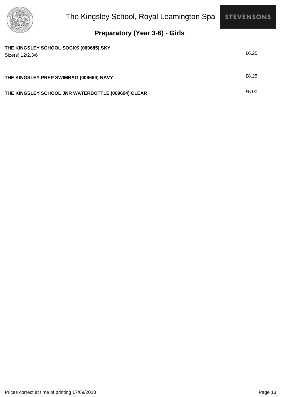

### **Preparatory (Year 3-6) - Girls**

| THE KINGSLEY SCHOOL SOCKS (009685) SKY<br>$Size(s) 12\frac{2}{36}$ | £6.25 |
|--------------------------------------------------------------------|-------|
| THE KINGSLEY PREP SWIMBAG (009669) NAVY                            | £8.25 |
| THE KINGSLEY SCHOOL JNR WATERBOTTLE (009694) CLEAR                 | £5.00 |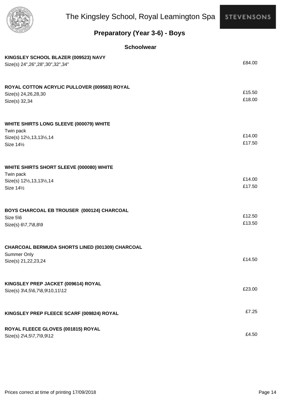

### **Preparatory (Year 3-6) - Boys**

| KINGSLEY SCHOOL BLAZER (009523) NAVY<br>Size(s) 24", 26", 28", 30", 32", 34"                        | £84.00           |
|-----------------------------------------------------------------------------------------------------|------------------|
| ROYAL COTTON ACRYLIC PULLOVER (009583) ROYAL<br>Size(s) 24,26,28,30<br>Size(s) 32,34                | £15.50<br>£18.00 |
| WHITE SHIRTS LONG SLEEVE (000079) WHITE<br>Twin pack<br>Size(s) 121/2, 13, 131/2, 14<br>Size 141/2  | £14.00<br>£17.50 |
| WHITE SHIRTS SHORT SLEEVE (000080) WHITE<br>Twin pack<br>Size(s) 121/2, 13, 131/2, 14<br>Size 141/2 | £14.00<br>£17.50 |
| BOYS CHARCOAL EB TROUSER (000124) CHARCOAL<br>Size 5\6<br>Size(s) 6\7,7\8,8\9                       | £12.50<br>£13.50 |
| CHARCOAL BERMUDA SHORTS LINED (001309) CHARCOAL<br>Summer Only<br>Size(s) 21,22,23,24               | £14.50           |
| KINGSLEY PREP JACKET (009614) ROYAL<br>Size(s) 3\4,5\6,7\8,9\10,11\12                               | £23.00           |
| KINGSLEY PREP FLEECE SCARF (009824) ROYAL                                                           | £7.25            |
| ROYAL FLEECE GLOVES (001815) ROYAL<br>Size(s) 2\4,5\7,7\9,9\12                                      | £4.50            |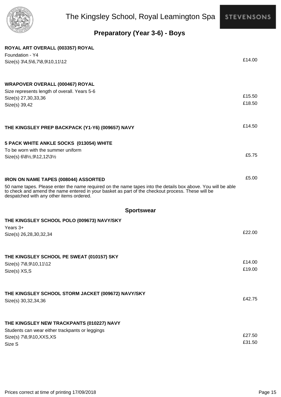

### **Preparatory (Year 3-6) - Boys**

| ROYAL ART OVERALL (003357) ROYAL                                                                                                                                                                                                                              |                  |
|---------------------------------------------------------------------------------------------------------------------------------------------------------------------------------------------------------------------------------------------------------------|------------------|
| Foundation - Y4<br>Size(s) 3\4,5\6,7\8,9\10,11\12                                                                                                                                                                                                             | £14.00           |
|                                                                                                                                                                                                                                                               |                  |
| <b>WRAPOVER OVERALL (000467) ROYAL</b>                                                                                                                                                                                                                        |                  |
| Size represents length of overall. Years 5-6                                                                                                                                                                                                                  |                  |
| Size(s) 27,30,33,36                                                                                                                                                                                                                                           | £15.50           |
| Size(s) 39,42                                                                                                                                                                                                                                                 | £18.50           |
| THE KINGSLEY PREP BACKPACK (Y1-Y6) (009657) NAVY                                                                                                                                                                                                              | £14.50           |
| 5 PACK WHITE ANKLE SOCKS (013054) WHITE                                                                                                                                                                                                                       |                  |
| To be worn with the summer uniform                                                                                                                                                                                                                            |                  |
| Size(s) 6\81/2,9\12,12\31/2                                                                                                                                                                                                                                   | £5.75            |
| IRON ON NAME TAPES (008044) ASSORTED                                                                                                                                                                                                                          | £5.00            |
| 50 name tapes. Please enter the name required on the name tapes into the details box above. You will be able<br>to check and amend the name entered in your basket as part of the checkout process. These will be<br>despatched with any other items ordered. |                  |
| <b>Sportswear</b>                                                                                                                                                                                                                                             |                  |
| THE KINGSLEY SCHOOL POLO (009673) NAVY/SKY<br>Years $3+$                                                                                                                                                                                                      |                  |
| Size(s) 26,28,30,32,34                                                                                                                                                                                                                                        | £22.00           |
|                                                                                                                                                                                                                                                               |                  |
| THE KINGSLEY SCHOOL PE SWEAT (010157) SKY                                                                                                                                                                                                                     |                  |
| Size(s) 7\8,9\10,11\12                                                                                                                                                                                                                                        | £14.00<br>£19.00 |
| Size(s) XS,S                                                                                                                                                                                                                                                  |                  |
| THE KINGSLEY SCHOOL STORM JACKET (009672) NAVY/SKY                                                                                                                                                                                                            |                  |
| Size(s) 30,32,34,36                                                                                                                                                                                                                                           | £42.75           |
| THE KINGSLEY NEW TRACKPANTS (010227) NAVY                                                                                                                                                                                                                     |                  |
| Students can wear either trackpants or leggings                                                                                                                                                                                                               |                  |
| Size(s) 7\8,9\10, XXS, XS                                                                                                                                                                                                                                     | £27.50           |
| Size S                                                                                                                                                                                                                                                        | £31.50           |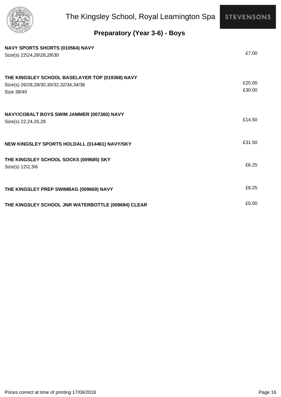

### **Preparatory (Year 3-6) - Boys**

| NAVY SPORTS SHORTS (010564) NAVY<br>Size(s) 22\24,26\28,28\30                                          | £7.00            |
|--------------------------------------------------------------------------------------------------------|------------------|
| THE KINGSLEY SCHOOL BASELAYER TOP (019368) NAVY<br>Size(s) 26/28,28/30,30/32,32/34,34/36<br>Size 38/40 | £25.00<br>£30.00 |
| NAVY/COBALT BOYS SWIM JAMMER (007360) NAVY<br>Size(s) 22,24,26,28                                      | £14.50           |
| NEW KINGSLEY SPORTS HOLDALL (014461) NAVY/SKY                                                          | £31.50           |
| THE KINGSLEY SCHOOL SOCKS (009685) SKY<br>Size(s) 12\2,3\6                                             | £6.25            |
| THE KINGSLEY PREP SWIMBAG (009669) NAVY                                                                | £8.25            |
| THE KINGSLEY SCHOOL JNR WATERBOTTLE (009694) CLEAR                                                     | £5.00            |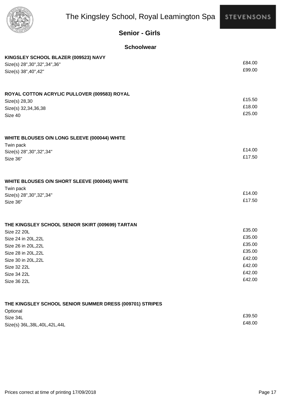

#### **Senior - Girls**

#### **Schoolwear**

| KINGSLEY SCHOOL BLAZER (009523) NAVY             |        |
|--------------------------------------------------|--------|
| Size(s) 28", 30", 32", 34", 36"                  | £84.00 |
| Size(s) 38", 40", 42"                            | £99.00 |
|                                                  |        |
| ROYAL COTTON ACRYLIC PULLOVER (009583) ROYAL     |        |
| Size(s) 28,30                                    | £15.50 |
| Size(s) 32,34,36,38                              | £18.00 |
| Size 40                                          | £25.00 |
| WHITE BLOUSES O/N LONG SLEEVE (000044) WHITE     |        |
| Twin pack                                        |        |
| Size(s) 28", 30", 32", 34"                       | £14.00 |
| Size 36"                                         | £17.50 |
| WHITE BLOUSES O/N SHORT SLEEVE (000045) WHITE    |        |
| Twin pack                                        |        |
| Size(s) 28", 30", 32", 34"                       | £14.00 |
| Size 36"                                         | £17.50 |
| THE KINGSLEY SCHOOL SENIOR SKIRT (009699) TARTAN |        |
| Size 22 20L                                      | £35.00 |
| Size 24 in 20L, 22L                              | £35.00 |
| Size 26 in 20L, 22L                              | £35.00 |
| Size 28 in 20L, 22L                              | £35.00 |
| Size 30 in 20L, 22L                              | £42.00 |
| Size 32 22L                                      | £42.00 |
| Size 34 22L                                      | £42.00 |
| Size 36 22L                                      | £42.00 |
|                                                  |        |

#### **THE KINGSLEY SCHOOL SENIOR SUMMER DRESS (009701) STRIPES**

| Optional                        |        |
|---------------------------------|--------|
| Size 34L                        | £39.50 |
| Size(s) 36L, 38L, 40L, 42L, 44L | £48.00 |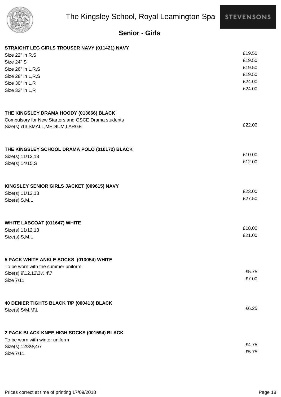

#### **Senior - Girls**

#### **STRAIGHT LEG GIRLS TROUSER NAVY (011421) NAVY**

| Size 22" in R,S                                                | £19.50 |
|----------------------------------------------------------------|--------|
| <b>Size 24" S</b>                                              | £19.50 |
| Size 26" in L,R,S                                              | £19.50 |
| Size 28" in L,R,S                                              | £19.50 |
| Size 30" in L,R                                                | £24.00 |
| Size 32" in L,R                                                | £24.00 |
|                                                                |        |
| THE KINGSLEY DRAMA HOODY (013666) BLACK                        |        |
| Compulsory for New Starters and GSCE Drama students            |        |
| Size(s) \13, SMALL, MEDIUM, LARGE                              | £22.00 |
|                                                                |        |
| THE KINGSLEY SCHOOL DRAMA POLO (010172) BLACK                  | £10.00 |
| Size(s) 11\12,13<br>Size(s) 14\15, S                           | £12.00 |
|                                                                |        |
| KINGSLEY SENIOR GIRLS JACKET (009615) NAVY                     |        |
| Size(s) 11\12,13                                               | £23.00 |
| Size(s) S,M,L                                                  | £27.50 |
| <b>WHITE LABCOAT (011647) WHITE</b>                            |        |
| Size(s) 11/12,13                                               | £18.00 |
| Size(s) S,M,L                                                  | £21.00 |
|                                                                |        |
| 5 PACK WHITE ANKLE SOCKS (013054) WHITE                        |        |
| To be worn with the summer uniform<br>Size(s) 9\12,12\31/2,4\7 | £5.75  |
| Size 7\11                                                      | £7.00  |
|                                                                |        |
| 40 DENIER TIGHTS BLACK T/P (000413) BLACK                      |        |
| Size(s) S\M, M\L                                               | £6.25  |
| 2 PACK BLACK KNEE HIGH SOCKS (001594) BLACK                    |        |
| To be worn with winter uniform                                 |        |
| Size(s) 12\31/2,4\7                                            | £4.75  |
| Size 7\11                                                      | £5.75  |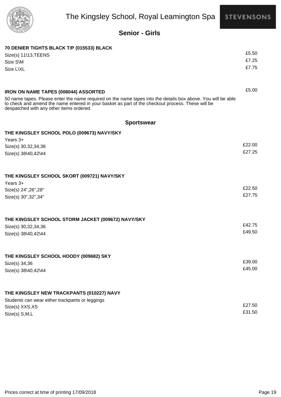



#### **Senior - Girls**

| 70 DENIER TIGHTS BLACK T/P (015533) BLACK                                                                                                                                                                                                                     |        |
|---------------------------------------------------------------------------------------------------------------------------------------------------------------------------------------------------------------------------------------------------------------|--------|
| Size(s) 11\13, TEENS                                                                                                                                                                                                                                          | £5.50  |
| Size S\M                                                                                                                                                                                                                                                      | £7.25  |
| Size L\XL                                                                                                                                                                                                                                                     | £7.75  |
|                                                                                                                                                                                                                                                               |        |
| <b>IRON ON NAME TAPES (008044) ASSORTED</b>                                                                                                                                                                                                                   | £5.00  |
| 50 name tapes. Please enter the name required on the name tapes into the details box above. You will be able<br>to check and amend the name entered in your basket as part of the checkout process. These will be<br>despatched with any other items ordered. |        |
| <b>Sportswear</b>                                                                                                                                                                                                                                             |        |
| THE KINGSLEY SCHOOL POLO (009673) NAVY/SKY                                                                                                                                                                                                                    |        |
| Years $3+$                                                                                                                                                                                                                                                    |        |
| Size(s) 30,32,34,36                                                                                                                                                                                                                                           | £22.00 |
| Size(s) 38\40,42\44                                                                                                                                                                                                                                           | £27.25 |
|                                                                                                                                                                                                                                                               |        |
| THE KINGSLEY SCHOOL SKORT (009721) NAVY/SKY                                                                                                                                                                                                                   |        |
| Years 3+                                                                                                                                                                                                                                                      |        |
| Size(s) 24", 26", 28"                                                                                                                                                                                                                                         | £22.50 |
| Size(s) 30", 32", 34"                                                                                                                                                                                                                                         | £27.75 |
|                                                                                                                                                                                                                                                               |        |
| THE KINGSLEY SCHOOL STORM JACKET (009672) NAVY/SKY                                                                                                                                                                                                            |        |
| Size(s) 30, 32, 34, 36                                                                                                                                                                                                                                        | £42.75 |
| Size(s) 38\40,42\44                                                                                                                                                                                                                                           | £49.50 |
|                                                                                                                                                                                                                                                               |        |
| THE KINGSLEY SCHOOL HOODY (009682) SKY                                                                                                                                                                                                                        |        |
| Size(s) 34,36                                                                                                                                                                                                                                                 | £39.00 |
| Size(s) 38\40,42\44                                                                                                                                                                                                                                           | £45.00 |
|                                                                                                                                                                                                                                                               |        |
| THE KINGSLEY NEW TRACKPANTS (010227) NAVY                                                                                                                                                                                                                     |        |
| Students can wear either trackpants or leggings                                                                                                                                                                                                               |        |
| Size(s) XXS, XS                                                                                                                                                                                                                                               | £27.50 |
| Size(s) S,M,L                                                                                                                                                                                                                                                 | £31.50 |